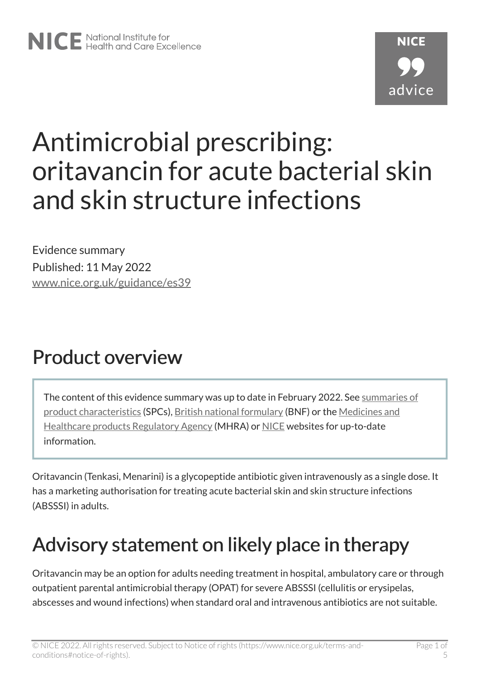# Antimicrobial prescribing: oritavancin for acute bacterial skin and skin structure infections

Evidence summary Published: 11 May 2022 [www.nice.org.uk/guidance/es39](https://www.nice.org.uk/guidance/es39) 

# Product overview

The content of this evidence summary was up to date in February 2022. See [summaries of](https://www.medicines.org.uk/emc/)  [product characteristics](https://www.medicines.org.uk/emc/) (SPCs), [British national formulary](https://bnf.nice.org.uk/?) (BNF) or the [Medicines and](https://www.gov.uk/government/organisations/medicines-and-healthcare-products-regulatory-agency) [Healthcare products Regulatory Agency](https://www.gov.uk/government/organisations/medicines-and-healthcare-products-regulatory-agency) (MHRA) or [NICE](https://www.nice.org.uk/) websites for up-to-date information.

Oritavancin (Tenkasi, Menarini) is a glycopeptide antibiotic given intravenously as a single dose. It has a marketing authorisation for treating acute bacterial skin and skin structure infections (ABSSSI) in adults.

# Advisory statement on likely place in therapy

Oritavancin may be an option for adults needing treatment in hospital, ambulatory care or through outpatient parental antimicrobial therapy (OPAT) for severe ABSSSI (cellulitis or erysipelas, abscesses and wound infections) when standard oral and intravenous antibiotics are not suitable.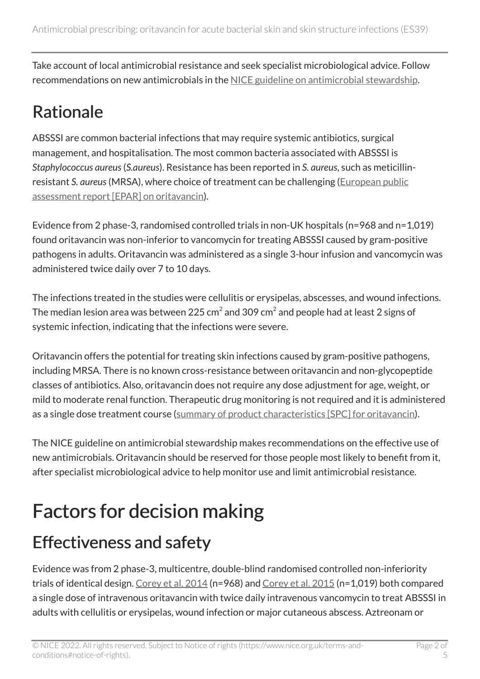Take account of local antimicrobial resistance and seek specialist microbiological advice. Follow recommendations on new antimicrobials in the [NICE guideline on antimicrobial stewardship](https://www.nice.org.uk/guidance/ng15).

#### Rationale

ABSSSI are common bacterial infections that may require systemic antibiotics, surgical management, and hospitalisation. The most common bacteria associated with ABSSSI is *Staphylococcus aureus*(*S.aureus*). Resistance has been reported in *S. aureus*, such as meticillinresistant *S. aureus*(MRSA), where choice of treatment can be challenging ([European public](https://www.ema.europa.eu/en/medicines/human/EPAR/tenkasi-previously-orbactiv)  [assessment report \[EPAR\] on oritavancin\)](https://www.ema.europa.eu/en/medicines/human/EPAR/tenkasi-previously-orbactiv).

Evidence from 2 phase-3, randomised controlled trials in non-UK hospitals (n=968 and n=1,019) found oritavancin was non-inferior to vancomycin for treating ABSSSI caused by gram-positive pathogens in adults. Oritavancin was administered as a single 3-hour infusion and vancomycin was administered twice daily over 7 to 10 days.

The infections treated in the studies were cellulitis or erysipelas, abscesses, and wound infections. The median lesion area was between 225 cm $^2$  and 309 cm $^2$  and people had at least 2 signs of systemic infection, indicating that the infections were severe.

Oritavancin offers the potential for treating skin infections caused by gram-positive pathogens, including MRSA. There is no known cross-resistance between oritavancin and non-glycopeptide classes of antibiotics. Also, oritavancin does not require any dose adjustment for age, weight, or mild to moderate renal function. Therapeutic drug monitoring is not required and it is administered as a single dose treatment course ([summary of product characteristics \[SPC\] for oritavancin\)](https://www.medicines.org.uk/emc/product/13554).

The NICE guideline on antimicrobial stewardship makes recommendations on the effective use of new antimicrobials. Oritavancin should be reserved for those people most likely to benefit from it, after specialist microbiological advice to help monitor use and limit antimicrobial resistance.

# Factors for decision making

#### Effectiveness and safety

Evidence was from 2 phase-3, multicentre, double-blind randomised controlled non-inferiority trials of identical design. [Corey et al. 2014](https://www.nejm.org/doi/10.1056/NEJMoa1310422?url_ver=Z39.88-2003&rfr_id=ori:rid:crossref.org&rfr_dat=cr_pub%20%200www.ncbi.nlm.nih.gov) (n=968) and [Corey et al. 2015](https://academic.oup.com/cid/article/60/2/254/2895537) (n=1,019) both compared a single dose of intravenous oritavancin with twice daily intravenous vancomycin to treat ABSSSI in adults with cellulitis or erysipelas, wound infection or major cutaneous abscess. Aztreonam or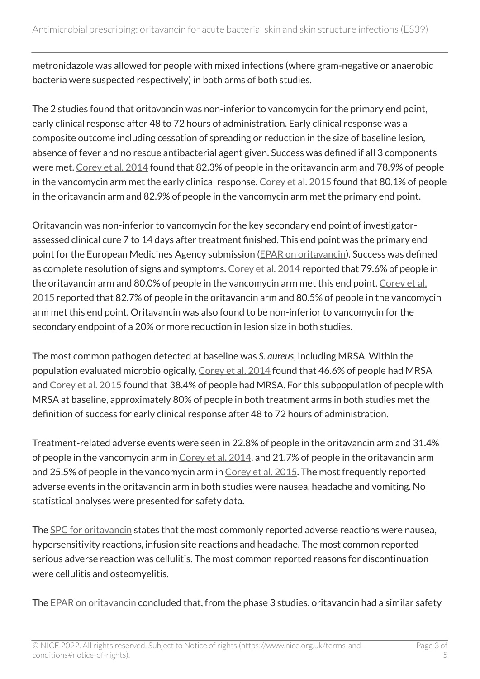metronidazole was allowed for people with mixed infections (where gram-negative or anaerobic bacteria were suspected respectively) in both arms of both studies.

The 2 studies found that oritavancin was non-inferior to vancomycin for the primary end point, early clinical response after 48 to 72 hours of administration. Early clinical response was a composite outcome including cessation of spreading or reduction in the size of baseline lesion, absence of fever and no rescue antibacterial agent given. Success was defined if all 3 components were met. [Corey et al. 2014](https://www.nejm.org/doi/10.1056/NEJMoa1310422?url_ver=Z39.88-2003&rfr_id=ori:rid:crossref.org&rfr_dat=cr_pub%20%200www.ncbi.nlm.nih.gov) found that 82.3% of people in the oritavancin arm and 78.9% of people in the vancomycin arm met the early clinical response. [Corey et al. 2015](https://academic.oup.com/cid/article/60/2/254/2895537) found that 80.1% of people in the oritavancin arm and 82.9% of people in the vancomycin arm met the primary end point.

Oritavancin was non-inferior to vancomycin for the key secondary end point of investigatorassessed clinical cure 7 to 14 days after treatment finished. This end point was the primary end point for the European Medicines Agency submission [\(EPAR on oritavancin\)](https://www.ema.europa.eu/en/medicines/human/EPAR/tenkasi-previously-orbactiv). Success was defined as complete resolution of signs and symptoms. [Corey et al. 2014](https://www.nejm.org/doi/10.1056/NEJMoa1310422?url_ver=Z39.88-2003&rfr_id=ori:rid:crossref.org&rfr_dat=cr_pub%20%200www.ncbi.nlm.nih.gov) reported that 79.6% of people in the oritavancin arm and 80.0% of people in the vancomycin arm met this end point. Corey et al. [2015](https://academic.oup.com/cid/article/60/2/254/2895537) reported that 82.7% of people in the oritavancin arm and 80.5% of people in the vancomycin arm met this end point. Oritavancin was also found to be non-inferior to vancomycin for the secondary endpoint of a 20% or more reduction in lesion size in both studies.

The most common pathogen detected at baseline was *S*. *aureus*, including MRSA. Within the population evaluated microbiologically, [Corey et al. 2014](https://www.nejm.org/doi/10.1056/NEJMoa1310422?url_ver=Z39.88-2003&rfr_id=ori:rid:crossref.org&rfr_dat=cr_pub%20%200www.ncbi.nlm.nih.gov) found that 46.6% of people had MRSA and [Corey et al. 2015](https://academic.oup.com/cid/article/60/2/254/2895537) found that 38.4% of people had MRSA. For this subpopulation of people with MRSA at baseline, approximately 80% of people in both treatment arms in both studies met the definition of success for early clinical response after 48 to 72 hours of administration.

Treatment-related adverse events were seen in 22.8% of people in the oritavancin arm and 31.4% of people in the vancomycin arm in [Corey et al. 2014,](https://www.nejm.org/doi/10.1056/NEJMoa1310422?url_ver=Z39.88-2003&rfr_id=ori:rid:crossref.org&rfr_dat=cr_pub%20%200www.ncbi.nlm.nih.gov) and 21.7% of people in the oritavancin arm and 25.5% of people in the vancomycin arm in [Corey et al. 2015.](https://academic.oup.com/cid/article/60/2/254/2895537) The most frequently reported adverse events in the oritavancin arm in both studies were nausea, headache and vomiting. No statistical analyses were presented for safety data.

The [SPC for oritavancin](https://www.medicines.org.uk/emc/product/13554) states that the most commonly reported adverse reactions were nausea, hypersensitivity reactions, infusion site reactions and headache. The most common reported serious adverse reaction was cellulitis. The most common reported reasons for discontinuation were cellulitis and osteomyelitis.

The [EPAR on oritavancin](https://www.ema.europa.eu/en/medicines/human/EPAR/tenkasi-previously-orbactiv) concluded that, from the phase 3 studies, oritavancin had a similar safety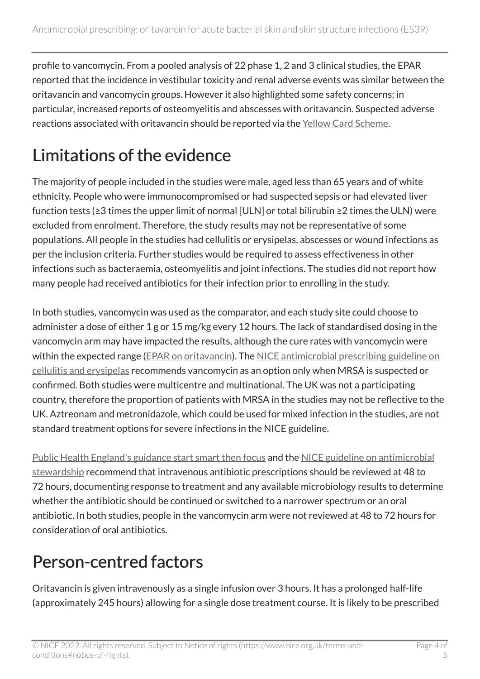profile to vancomycin. From a pooled analysis of 22 phase 1, 2 and 3 clinical studies, the EPAR reported that the incidence in vestibular toxicity and renal adverse events was similar between the oritavancin and vancomycin groups. However it also highlighted some safety concerns; in particular, increased reports of osteomyelitis and abscesses with oritavancin. Suspected adverse reactions associated with oritavancin should be reported via the [Yellow Card Scheme.](https://yellowcard.mhra.gov.uk/)

### Limitations of the evidence

The majority of people included in the studies were male, aged less than 65 years and of white ethnicity. People who were immunocompromised or had suspected sepsis or had elevated liver function tests (≥3 times the upper limit of normal [ULN] or total bilirubin ≥2 times the ULN) were excluded from enrolment. Therefore, the study results may not be representative of some populations. All people in the studies had cellulitis or erysipelas, abscesses or wound infections as per the inclusion criteria. Further studies would be required to assess effectiveness in other infections such as bacteraemia, osteomyelitis and joint infections. The studies did not report how many people had received antibiotics for their infection prior to enrolling in the study.

In both studies, vancomycin was used as the comparator, and each study site could choose to administer a dose of either 1 g or 15 mg/kg every 12 hours. The lack of standardised dosing in the vancomycin arm may have impacted the results, although the cure rates with vancomycin were within the expected range [\(EPAR on oritavancin\)](https://www.ema.europa.eu/en/medicines/human/EPAR/tenkasi-previously-orbactiv). The [NICE antimicrobial prescribing guideline on](https://www.nice.org.uk/guidance/ng141) [cellulitis and erysipelas](https://www.nice.org.uk/guidance/ng141) recommends vancomycin as an option only when MRSA is suspected or confirmed. Both studies were multicentre and multinational. The UK was not a participating country, therefore the proportion of patients with MRSA in the studies may not be reflective to the UK. Aztreonam and metronidazole, which could be used for mixed infection in the studies, are not standard treatment options for severe infections in the NICE guideline.

[Public Health England's guidance start smart then focus](https://www.gov.uk/government/publications/antimicrobial-stewardship-start-smart-then-focus) and the [NICE guideline on antimicrobial](https://www.nice.org.uk/guidance/ng15/chapter/1-Recommendations) [stewardship](https://www.nice.org.uk/guidance/ng15/chapter/1-Recommendations) recommend that intravenous antibiotic prescriptions should be reviewed at 48 to 72 hours, documenting response to treatment and any available microbiology results to determine whether the antibiotic should be continued or switched to a narrower spectrum or an oral antibiotic. In both studies, people in the vancomycin arm were not reviewed at 48 to 72 hours for consideration of oral antibiotics.

#### Person-centred factors

Oritavancin is given intravenously as a single infusion over 3 hours. It has a prolonged half-life (approximately 245 hours) allowing for a single dose treatment course. It is likely to be prescribed